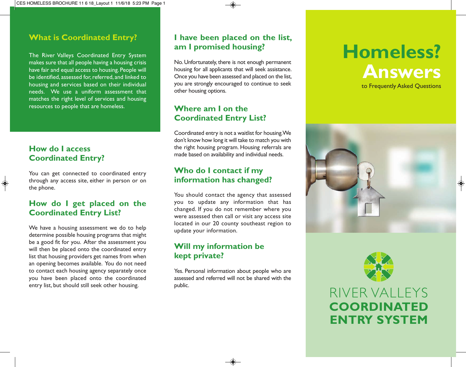#### **What is Coordinated Entry?**

The River Valleys Coordinated Entry System makes sure that all people having a housing crisis have fair and equal access to housing. People will be identified, assessed for, referred, and linked to housing and services based on their individual needs. We use a uniform assessment that matches the right level of services and housing resources to people that are homeless.

#### **How do I access Coordinated Entry?**

You can get connected to coordinated entry through any access site, either in person or on the phone.

#### **How do I get placed on the Coordinated Entry List?**

We have a housing assessment we do to help determine possible housing programs that might be a good fit for you. After the assessment you will then be placed onto the coordinated entry list that housing providers get names from when an opening becomes available. You do not need to contact each housing agency separately once you have been placed onto the coordinated entry list, but should still seek other housing.

#### **I have been placed on the list, am I promised housing?**

No. Unfortunately, there is not enough permanent housing for all applicants that will seek assistance. Once you have been assessed and placed on the list, you are strongly encouraged to continue to seek other housing options.

#### **Where am I on the Coordinated Entry List?**

Coordinated entry is not a waitlist for housing. We don't know how long it will take to match you with the right housing program. Housing referrals are made based on availability and individual needs.

#### **Who do I contact if my information has changed?**

You should contact the agency that assessed you to update any information that has changed. If you do not remember where you were assessed then call or visit any access site located in our 20 county southeast region to update your information.

#### **Will my information be kept private?**

Yes. Personal information about people who are assessed and referred will not be shared with the public.

# **Homeless? Answers** to Frequently Asked Questions





## RIVER VALLEYS **COORDINATED ENTRY SYSTEM**